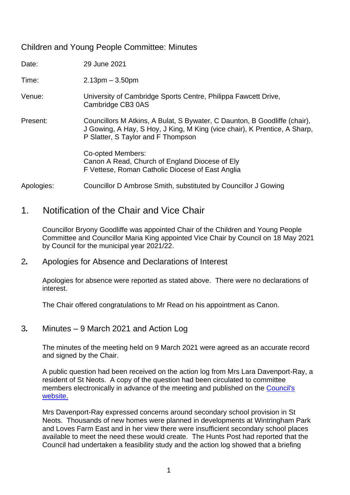## Children and Young People Committee: Minutes

| Date:      | 29 June 2021                                                                                                                                                                                 |
|------------|----------------------------------------------------------------------------------------------------------------------------------------------------------------------------------------------|
| Time:      | $2.13pm - 3.50pm$                                                                                                                                                                            |
| Venue:     | University of Cambridge Sports Centre, Philippa Fawcett Drive,<br>Cambridge CB3 0AS                                                                                                          |
| Present:   | Councillors M Atkins, A Bulat, S Bywater, C Daunton, B Goodliffe (chair),<br>J Gowing, A Hay, S Hoy, J King, M King (vice chair), K Prentice, A Sharp,<br>P Slatter, S Taylor and F Thompson |
|            | Co-opted Members:<br>Canon A Read, Church of England Diocese of Ely<br>F Vettese, Roman Catholic Diocese of East Anglia                                                                      |
| Apologies: | Councillor D Ambrose Smith, substituted by Councillor J Gowing                                                                                                                               |

# 1.Notification of the Chair and Vice Chair

Councillor Bryony Goodliffe was appointed Chair of the Children and Young People Committee and Councillor Maria King appointed Vice Chair by Council on 18 May 2021 by Council for the municipal year 2021/22.

#### 2*.* Apologies for Absence and Declarations of Interest

Apologies for absence were reported as stated above. There were no declarations of interest.

The Chair offered congratulations to Mr Read on his appointment as Canon.

#### 3*.* Minutes – 9 March 2021 and Action Log

The minutes of the meeting held on 9 March 2021 were agreed as an accurate record and signed by the Chair.

A public question had been received on the action log from Mrs Lara Davenport-Ray, a resident of St Neots. A copy of the question had been circulated to committee members electronically in advance of the meeting and published on the Council's [website.](https://cambridgeshire.cmis.uk.com/ccc_live/Meetings/tabid/70/ctl/ViewMeetingPublic/mid/397/Meeting/1799/Committee/4/SelectedTab/Documents/Default.aspx) 

Mrs Davenport-Ray expressed concerns around secondary school provision in St Neots. Thousands of new homes were planned in developments at Wintringham Park and Loves Farm East and in her view there were insufficient secondary school places available to meet the need these would create. The Hunts Post had reported that the Council had undertaken a feasibility study and the action log showed that a briefing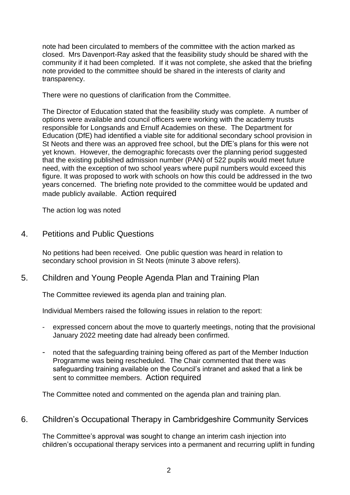note had been circulated to members of the committee with the action marked as closed. Mrs Davenport-Ray asked that the feasibility study should be shared with the community if it had been completed. If it was not complete, she asked that the briefing note provided to the committee should be shared in the interests of clarity and transparency.

There were no questions of clarification from the Committee.

The Director of Education stated that the feasibility study was complete. A number of options were available and council officers were working with the academy trusts responsible for Longsands and Ernulf Academies on these. The Department for Education (DfE) had identified a viable site for additional secondary school provision in St Neots and there was an approved free school, but the DfE's plans for this were not yet known. However, the demographic forecasts over the planning period suggested that the existing published admission number (PAN) of 522 pupils would meet future need, with the exception of two school years where pupil numbers would exceed this figure. It was proposed to work with schools on how this could be addressed in the two years concerned. The briefing note provided to the committee would be updated and made publicly available. Action required

The action log was noted

4. Petitions and Public Questions

No petitions had been received. One public question was heard in relation to secondary school provision in St Neots (minute 3 above refers).

5. Children and Young People Agenda Plan and Training Plan

The Committee reviewed its agenda plan and training plan.

Individual Members raised the following issues in relation to the report:

- expressed concern about the move to quarterly meetings, noting that the provisional January 2022 meeting date had already been confirmed.
- noted that the safeguarding training being offered as part of the Member Induction Programme was being rescheduled. The Chair commented that there was safeguarding training available on the Council's intranet and asked that a link be sent to committee members. Action required

The Committee noted and commented on the agenda plan and training plan.

6. Children's Occupational Therapy in Cambridgeshire Community Services

The Committee's approval was sought to change an interim cash injection into children's occupational therapy services into a permanent and recurring uplift in funding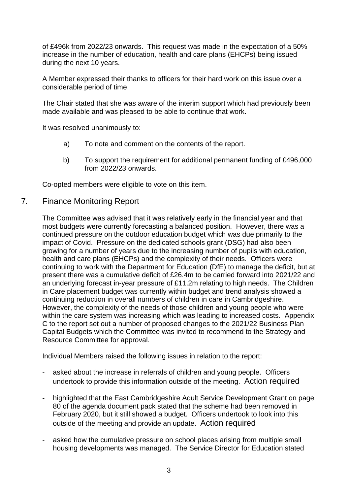of £496k from 2022/23 onwards. This request was made in the expectation of a 50% increase in the number of education, health and care plans (EHCPs) being issued during the next 10 years.

A Member expressed their thanks to officers for their hard work on this issue over a considerable period of time.

The Chair stated that she was aware of the interim support which had previously been made available and was pleased to be able to continue that work.

It was resolved unanimously to:

- a) To note and comment on the contents of the report.
- b) To support the requirement for additional permanent funding of £496,000 from 2022/23 onwards.

Co-opted members were eligible to vote on this item.

#### 7*.* Finance Monitoring Report

The Committee was advised that it was relatively early in the financial year and that most budgets were currently forecasting a balanced position. However, there was a continued pressure on the outdoor education budget which was due primarily to the impact of Covid. Pressure on the dedicated schools grant (DSG) had also been growing for a number of years due to the increasing number of pupils with education, health and care plans (EHCPs) and the complexity of their needs. Officers were continuing to work with the Department for Education (DfE) to manage the deficit, but at present there was a cumulative deficit of £26.4m to be carried forward into 2021/22 and an underlying forecast in-year pressure of £11.2m relating to high needs. The Children in Care placement budget was currently within budget and trend analysis showed a continuing reduction in overall numbers of children in care in Cambridgeshire. However, the complexity of the needs of those children and young people who were within the care system was increasing which was leading to increased costs. Appendix C to the report set out a number of proposed changes to the 2021/22 Business Plan Capital Budgets which the Committee was invited to recommend to the Strategy and Resource Committee for approval.

Individual Members raised the following issues in relation to the report:

- asked about the increase in referrals of children and young people. Officers undertook to provide this information outside of the meeting. Action required
- highlighted that the East Cambridgeshire Adult Service Development Grant on page 80 of the agenda document pack stated that the scheme had been removed in February 2020, but it still showed a budget. Officers undertook to look into this outside of the meeting and provide an update. Action required
- asked how the cumulative pressure on school places arising from multiple small housing developments was managed. The Service Director for Education stated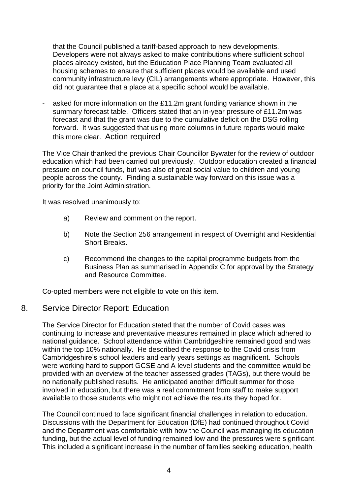that the Council published a tariff-based approach to new developments. Developers were not always asked to make contributions where sufficient school places already existed, but the Education Place Planning Team evaluated all housing schemes to ensure that sufficient places would be available and used community infrastructure levy (CIL) arrangements where appropriate. However, this did not guarantee that a place at a specific school would be available.

asked for more information on the £11.2m grant funding variance shown in the summary forecast table. Officers stated that an in-year pressure of £11.2m was forecast and that the grant was due to the cumulative deficit on the DSG rolling forward. It was suggested that using more columns in future reports would make this more clear. Action required

The Vice Chair thanked the previous Chair Councillor Bywater for the review of outdoor education which had been carried out previously. Outdoor education created a financial pressure on council funds, but was also of great social value to children and young people across the county. Finding a sustainable way forward on this issue was a priority for the Joint Administration.

It was resolved unanimously to:

- a) Review and comment on the report.
- b) Note the Section 256 arrangement in respect of Overnight and Residential Short Breaks.
- c) Recommend the changes to the capital programme budgets from the Business Plan as summarised in Appendix C for approval by the Strategy and Resource Committee.

Co-opted members were not eligible to vote on this item.

#### 8. Service Director Report: Education

The Service Director for Education stated that the number of Covid cases was continuing to increase and preventative measures remained in place which adhered to national guidance. School attendance within Cambridgeshire remained good and was within the top 10% nationally. He described the response to the Covid crisis from Cambridgeshire's school leaders and early years settings as magnificent. Schools were working hard to support GCSE and A level students and the committee would be provided with an overview of the teacher assessed grades (TAGs), but there would be no nationally published results. He anticipated another difficult summer for those involved in education, but there was a real commitment from staff to make support available to those students who might not achieve the results they hoped for.

The Council continued to face significant financial challenges in relation to education. Discussions with the Department for Education (DfE) had continued throughout Covid and the Department was comfortable with how the Council was managing its education funding, but the actual level of funding remained low and the pressures were significant. This included a significant increase in the number of families seeking education, health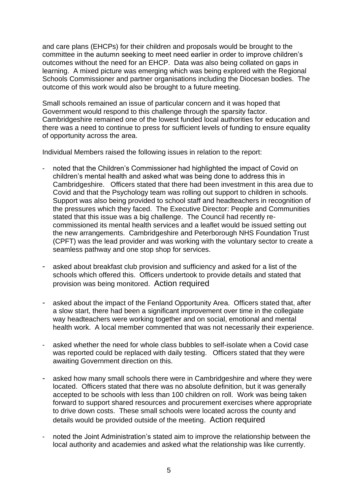and care plans (EHCPs) for their children and proposals would be brought to the committee in the autumn seeking to meet need earlier in order to improve children's outcomes without the need for an EHCP. Data was also being collated on gaps in learning. A mixed picture was emerging which was being explored with the Regional Schools Commissioner and partner organisations including the Diocesan bodies. The outcome of this work would also be brought to a future meeting.

Small schools remained an issue of particular concern and it was hoped that Government would respond to this challenge through the sparsity factor. Cambridgeshire remained one of the lowest funded local authorities for education and there was a need to continue to press for sufficient levels of funding to ensure equality of opportunity across the area.

Individual Members raised the following issues in relation to the report:

- noted that the Children's Commissioner had highlighted the impact of Covid on children's mental health and asked what was being done to address this in Cambridgeshire. Officers stated that there had been investment in this area due to Covid and that the Psychology team was rolling out support to children in schools. Support was also being provided to school staff and headteachers in recognition of the pressures which they faced. The Executive Director: People and Communities stated that this issue was a big challenge. The Council had recently recommissioned its mental health services and a leaflet would be issued setting out the new arrangements. Cambridgeshire and Peterborough NHS Foundation Trust (CPFT) was the lead provider and was working with the voluntary sector to create a seamless pathway and one stop shop for services.
- asked about breakfast club provision and sufficiency and asked for a list of the schools which offered this. Officers undertook to provide details and stated that provision was being monitored. Action required
- asked about the impact of the Fenland Opportunity Area. Officers stated that, after a slow start, there had been a significant improvement over time in the collegiate way headteachers were working together and on social, emotional and mental health work. A local member commented that was not necessarily their experience.
- asked whether the need for whole class bubbles to self-isolate when a Covid case was reported could be replaced with daily testing. Officers stated that they were awaiting Government direction on this.
- asked how many small schools there were in Cambridgeshire and where they were located. Officers stated that there was no absolute definition, but it was generally accepted to be schools with less than 100 children on roll. Work was being taken forward to support shared resources and procurement exercises where appropriate to drive down costs. These small schools were located across the county and details would be provided outside of the meeting. Action required
- noted the Joint Administration's stated aim to improve the relationship between the local authority and academies and asked what the relationship was like currently.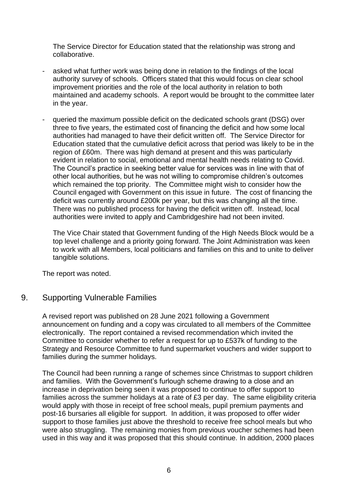The Service Director for Education stated that the relationship was strong and collaborative.

- asked what further work was being done in relation to the findings of the local authority survey of schools. Officers stated that this would focus on clear school improvement priorities and the role of the local authority in relation to both maintained and academy schools. A report would be brought to the committee later in the year.
- queried the maximum possible deficit on the dedicated schools grant (DSG) over three to five years, the estimated cost of financing the deficit and how some local authorities had managed to have their deficit written off. The Service Director for Education stated that the cumulative deficit across that period was likely to be in the region of £60m. There was high demand at present and this was particularly evident in relation to social, emotional and mental health needs relating to Covid. The Council's practice in seeking better value for services was in line with that of other local authorities, but he was not willing to compromise children's outcomes which remained the top priority. The Committee might wish to consider how the Council engaged with Government on this issue in future. The cost of financing the deficit was currently around £200k per year, but this was changing all the time. There was no published process for having the deficit written off. Instead, local authorities were invited to apply and Cambridgeshire had not been invited.

The Vice Chair stated that Government funding of the High Needs Block would be a top level challenge and a priority going forward. The Joint Administration was keen to work with all Members, local politicians and families on this and to unite to deliver tangible solutions.

The report was noted.

## 9. Supporting Vulnerable Families

A revised report was published on 28 June 2021 following a Government announcement on funding and a copy was circulated to all members of the Committee electronically. The report contained a revised recommendation which invited the Committee to consider whether to refer a request for up to £537k of funding to the Strategy and Resource Committee to fund supermarket vouchers and wider support to families during the summer holidays.

The Council had been running a range of schemes since Christmas to support children and families. With the Government's furlough scheme drawing to a close and an increase in deprivation being seen it was proposed to continue to offer support to families across the summer holidays at a rate of £3 per day. The same eligibility criteria would apply with those in receipt of free school meals, pupil premium payments and post-16 bursaries all eligible for support. In addition, it was proposed to offer wider support to those families just above the threshold to receive free school meals but who were also struggling. The remaining monies from previous voucher schemes had been used in this way and it was proposed that this should continue. In addition, 2000 places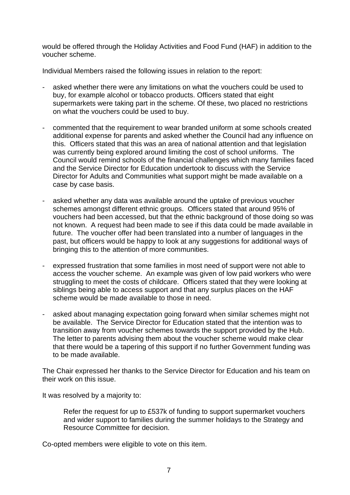would be offered through the Holiday Activities and Food Fund (HAF) in addition to the voucher scheme.

Individual Members raised the following issues in relation to the report:

- asked whether there were any limitations on what the vouchers could be used to buy, for example alcohol or tobacco products. Officers stated that eight supermarkets were taking part in the scheme. Of these, two placed no restrictions on what the vouchers could be used to buy.
- commented that the requirement to wear branded uniform at some schools created additional expense for parents and asked whether the Council had any influence on this. Officers stated that this was an area of national attention and that legislation was currently being explored around limiting the cost of school uniforms. The Council would remind schools of the financial challenges which many families faced and the Service Director for Education undertook to discuss with the Service Director for Adults and Communities what support might be made available on a case by case basis.
- asked whether any data was available around the uptake of previous voucher schemes amongst different ethnic groups. Officers stated that around 95% of vouchers had been accessed, but that the ethnic background of those doing so was not known. A request had been made to see if this data could be made available in future. The voucher offer had been translated into a number of languages in the past, but officers would be happy to look at any suggestions for additional ways of bringing this to the attention of more communities.
- expressed frustration that some families in most need of support were not able to access the voucher scheme. An example was given of low paid workers who were struggling to meet the costs of childcare. Officers stated that they were looking at siblings being able to access support and that any surplus places on the HAF scheme would be made available to those in need.
- asked about managing expectation going forward when similar schemes might not be available. The Service Director for Education stated that the intention was to transition away from voucher schemes towards the support provided by the Hub. The letter to parents advising them about the voucher scheme would make clear that there would be a tapering of this support if no further Government funding was to be made available.

The Chair expressed her thanks to the Service Director for Education and his team on their work on this issue.

It was resolved by a majority to:

Refer the request for up to £537k of funding to support supermarket vouchers and wider support to families during the summer holidays to the Strategy and Resource Committee for decision.

Co-opted members were eligible to vote on this item.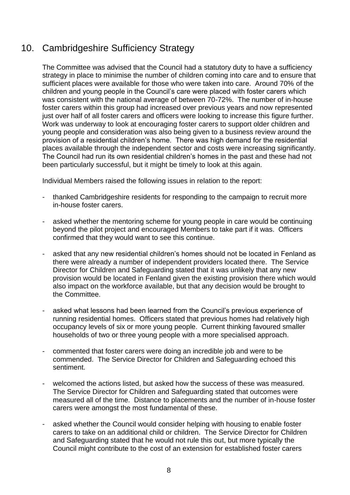# 10. Cambridgeshire Sufficiency Strategy

The Committee was advised that the Council had a statutory duty to have a sufficiency strategy in place to minimise the number of children coming into care and to ensure that sufficient places were available for those who were taken into care. Around 70% of the children and young people in the Council's care were placed with foster carers which was consistent with the national average of between 70-72%. The number of in-house foster carers within this group had increased over previous years and now represented just over half of all foster carers and officers were looking to increase this figure further. Work was underway to look at encouraging foster carers to support older children and young people and consideration was also being given to a business review around the provision of a residential children's home. There was high demand for the residential places available through the independent sector and costs were increasing significantly. The Council had run its own residential children's homes in the past and these had not been particularly successful, but it might be timely to look at this again.

Individual Members raised the following issues in relation to the report:

- thanked Cambridgeshire residents for responding to the campaign to recruit more in-house foster carers.
- asked whether the mentoring scheme for young people in care would be continuing beyond the pilot project and encouraged Members to take part if it was. Officers confirmed that they would want to see this continue.
- asked that any new residential children's homes should not be located in Fenland as there were already a number of independent providers located there. The Service Director for Children and Safeguarding stated that it was unlikely that any new provision would be located in Fenland given the existing provision there which would also impact on the workforce available, but that any decision would be brought to the Committee.
- asked what lessons had been learned from the Council's previous experience of running residential homes. Officers stated that previous homes had relatively high occupancy levels of six or more young people. Current thinking favoured smaller households of two or three young people with a more specialised approach.
- commented that foster carers were doing an incredible job and were to be commended. The Service Director for Children and Safeguarding echoed this sentiment.
- welcomed the actions listed, but asked how the success of these was measured. The Service Director for Children and Safeguarding stated that outcomes were measured all of the time. Distance to placements and the number of in-house foster carers were amongst the most fundamental of these.
- asked whether the Council would consider helping with housing to enable foster carers to take on an additional child or children. The Service Director for Children and Safeguarding stated that he would not rule this out, but more typically the Council might contribute to the cost of an extension for established foster carers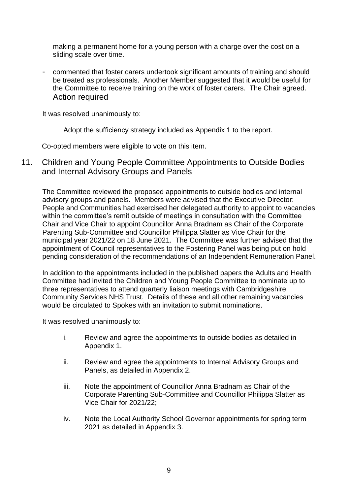making a permanent home for a young person with a charge over the cost on a sliding scale over time.

- commented that foster carers undertook significant amounts of training and should be treated as professionals. Another Member suggested that it would be useful for the Committee to receive training on the work of foster carers. The Chair agreed. Action required

It was resolved unanimously to:

Adopt the sufficiency strategy included as Appendix 1 to the report.

Co-opted members were eligible to vote on this item.

11. Children and Young People Committee Appointments to Outside Bodies and Internal Advisory Groups and Panels

The Committee reviewed the proposed appointments to outside bodies and internal advisory groups and panels. Members were advised that the Executive Director: People and Communities had exercised her delegated authority to appoint to vacancies within the committee's remit outside of meetings in consultation with the Committee Chair and Vice Chair to appoint Councillor Anna Bradnam as Chair of the Corporate Parenting Sub-Committee and Councillor Philippa Slatter as Vice Chair for the municipal year 2021/22 on 18 June 2021. The Committee was further advised that the appointment of Council representatives to the Fostering Panel was being put on hold pending consideration of the recommendations of an Independent Remuneration Panel.

In addition to the appointments included in the published papers the Adults and Health Committee had invited the Children and Young People Committee to nominate up to three representatives to attend quarterly liaison meetings with Cambridgeshire Community Services NHS Trust. Details of these and all other remaining vacancies would be circulated to Spokes with an invitation to submit nominations.

It was resolved unanimously to:

- i. Review and agree the appointments to outside bodies as detailed in Appendix 1.
- ii. Review and agree the appointments to Internal Advisory Groups and Panels, as detailed in Appendix 2.
- iii. Note the appointment of Councillor Anna Bradnam as Chair of the Corporate Parenting Sub-Committee and Councillor Philippa Slatter as Vice Chair for 2021/22;
- iv. Note the Local Authority School Governor appointments for spring term 2021 as detailed in Appendix 3.